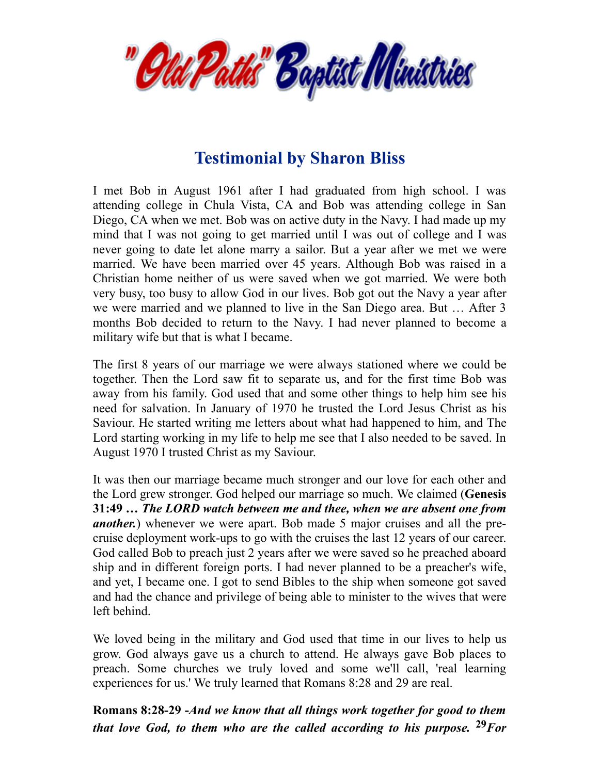

# **Testimonial by Sharon Bliss**

I met Bob in August 1961 after I had graduated from high school. I was attending college in Chula Vista, CA and Bob was attending college in San Diego, CA when we met. Bob was on active duty in the Navy. I had made up my mind that I was not going to get married until I was out of college and I was never going to date let alone marry a sailor. But a year after we met we were married. We have been married over 45 years. Although Bob was raised in a Christian home neither of us were saved when we got married. We were both very busy, too busy to allow God in our lives. Bob got out the Navy a year after we were married and we planned to live in the San Diego area. But … After 3 months Bob decided to return to the Navy. I had never planned to become a military wife but that is what I became.

The first 8 years of our marriage we were always stationed where we could be together. Then the Lord saw fit to separate us, and for the first time Bob was away from his family. God used that and some other things to help him see his need for salvation. In January of 1970 he trusted the Lord Jesus Christ as his Saviour. He started writing me letters about what had happened to him, and The Lord starting working in my life to help me see that I also needed to be saved. In August 1970 I trusted Christ as my Saviour.

It was then our marriage became much stronger and our love for each other and the Lord grew stronger. God helped our marriage so much. We claimed (**Genesis 31:49** *… The LORD watch between me and thee, when we are absent one from another.*) whenever we were apart. Bob made 5 major cruises and all the precruise deployment work-ups to go with the cruises the last 12 years of our career. God called Bob to preach just 2 years after we were saved so he preached aboard ship and in different foreign ports. I had never planned to be a preacher's wife, and yet, I became one. I got to send Bibles to the ship when someone got saved and had the chance and privilege of being able to minister to the wives that were left behind.

We loved being in the military and God used that time in our lives to help us grow. God always gave us a church to attend. He always gave Bob places to preach. Some churches we truly loved and some we'll call, 'real learning experiences for us.' We truly learned that Romans 8:28 and 29 are real.

**Romans 8:28-29 -***And we know that all things work together for good to them that love God, to them who are the called according to his purpose.* **<sup>29</sup>***For*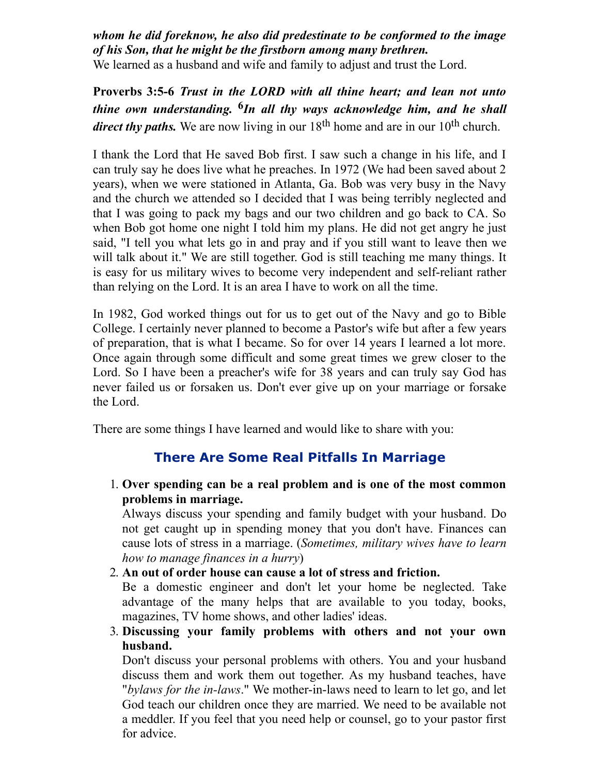# *whom he did foreknow, he also did predestinate to be conformed to the image of his Son, that he might be the firstborn among many brethren.*

We learned as a husband and wife and family to adjust and trust the Lord.

**Proverbs 3:5-6** *Trust in the LORD with all thine heart; and lean not unto thine own understanding.* **6** *In all thy ways acknowledge him, and he shall* direct thy paths. We are now living in our 18<sup>th</sup> home and are in our 10<sup>th</sup> church.

I thank the Lord that He saved Bob first. I saw such a change in his life, and I can truly say he does live what he preaches. In 1972 (We had been saved about 2 years), when we were stationed in Atlanta, Ga. Bob was very busy in the Navy and the church we attended so I decided that I was being terribly neglected and that I was going to pack my bags and our two children and go back to CA. So when Bob got home one night I told him my plans. He did not get angry he just said, "I tell you what lets go in and pray and if you still want to leave then we will talk about it." We are still together. God is still teaching me many things. It is easy for us military wives to become very independent and self-reliant rather than relying on the Lord. It is an area I have to work on all the time.

In 1982, God worked things out for us to get out of the Navy and go to Bible College. I certainly never planned to become a Pastor's wife but after a few years of preparation, that is what I became. So for over 14 years I learned a lot more. Once again through some difficult and some great times we grew closer to the Lord. So I have been a preacher's wife for 38 years and can truly say God has never failed us or forsaken us. Don't ever give up on your marriage or forsake the Lord.

There are some things I have learned and would like to share with you:

# **There Are Some Real Pitfalls In Marriage**

1. **Over spending can be a real problem and is one of the most common problems in marriage.**

Always discuss your spending and family budget with your husband. Do not get caught up in spending money that you don't have. Finances can cause lots of stress in a marriage. (*Sometimes, military wives have to learn how to manage finances in a hurry*)

2. **An out of order house can cause a lot of stress and friction.**

Be a domestic engineer and don't let your home be neglected. Take advantage of the many helps that are available to you today, books, magazines, TV home shows, and other ladies' ideas.

3. **Discussing your family problems with others and not your own husband.**

Don't discuss your personal problems with others. You and your husband discuss them and work them out together. As my husband teaches, have "*bylaws for the in-laws*." We mother-in-laws need to learn to let go, and let God teach our children once they are married. We need to be available not a meddler. If you feel that you need help or counsel, go to your pastor first for advice.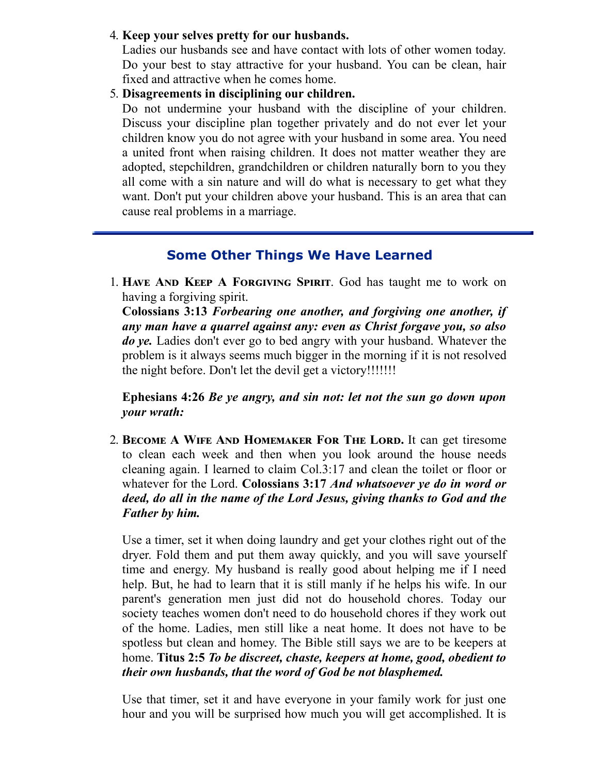#### 4. **Keep your selves pretty for our husbands.**

Ladies our husbands see and have contact with lots of other women today. Do your best to stay attractive for your husband. You can be clean, hair fixed and attractive when he comes home.

5. **Disagreements in disciplining our children.**

Do not undermine your husband with the discipline of your children. Discuss your discipline plan together privately and do not ever let your children know you do not agree with your husband in some area. You need a united front when raising children. It does not matter weather they are adopted, stepchildren, grandchildren or children naturally born to you they all come with a sin nature and will do what is necessary to get what they want. Don't put your children above your husband. This is an area that can cause real problems in a marriage.

# **Some Other Things We Have Learned**

1. HAVE AND KEEP A FORGIVING SPIRIT. God has taught me to work on having a forgiving spirit.

**Colossians 3:13** *Forbearing one another, and forgiving one another, if any man have a quarrel against any: even as Christ forgave you, so also do ye.* Ladies don't ever go to bed angry with your husband. Whatever the problem is it always seems much bigger in the morning if it is not resolved the night before. Don't let the devil get a victory!!!!!!!

**Ephesians 4:26** *Be ye angry, and sin not: let not the sun go down upon your wrath:*

2. **BECOME A WIFE AND HOMEMAKER FOR THE LORD.** It can get tiresome to clean each week and then when you look around the house needs cleaning again. I learned to claim Col.3:17 and clean the toilet or floor or whatever for the Lord. **Colossians 3:17** *And whatsoever ye do in word or deed, do all in the name of the Lord Jesus, giving thanks to God and the Father by him.*

Use a timer, set it when doing laundry and get your clothes right out of the dryer. Fold them and put them away quickly, and you will save yourself time and energy. My husband is really good about helping me if I need help. But, he had to learn that it is still manly if he helps his wife. In our parent's generation men just did not do household chores. Today our society teaches women don't need to do household chores if they work out of the home. Ladies, men still like a neat home. It does not have to be spotless but clean and homey. The Bible still says we are to be keepers at home. **Titus 2:5** *To be discreet, chaste, keepers at home, good, obedient to their own husbands, that the word of God be not blasphemed.*

Use that timer, set it and have everyone in your family work for just one hour and you will be surprised how much you will get accomplished. It is